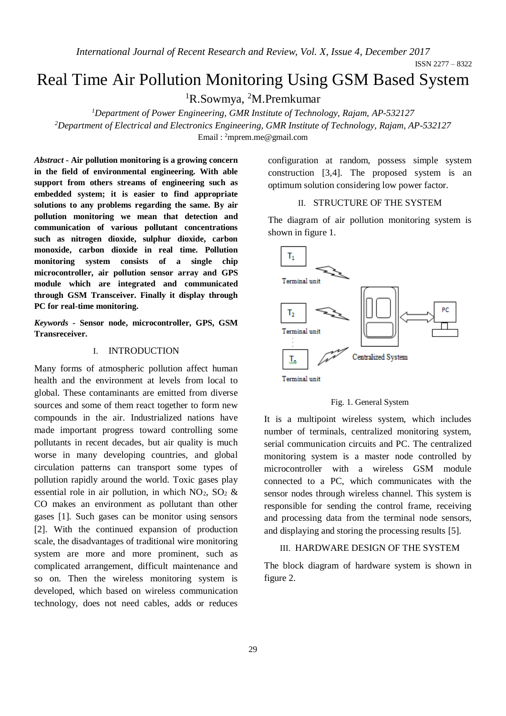*International Journal of Recent Research and Review, Vol. X, Issue 4, December 2017*

ISSN 2277 – 8322

# Real Time Air Pollution Monitoring Using GSM Based System

<sup>1</sup>R.Sowmya, <sup>2</sup>M.Premkumar

*<sup>1</sup>Department of Power Engineering, GMR Institute of Technology, Rajam, AP-532127 <sup>2</sup>Department of Electrical and Electronics Engineering, GMR Institute of Technology, Rajam, AP-532127*

Email: <sup>2</sup>mprem.me@gmail.com

*Abstract* **- Air pollution monitoring is a growing concern in the field of environmental engineering. With able support from others streams of engineering such as embedded system; it is easier to find appropriate solutions to any problems regarding the same. By air pollution monitoring we mean that detection and communication of various pollutant concentrations such as nitrogen dioxide, sulphur dioxide, carbon monoxide, carbon dioxide in real time. Pollution monitoring system consists of a single chip microcontroller, air pollution sensor array and GPS module which are integrated and communicated through GSM Transceiver. Finally it display through PC for real-time monitoring.**

*Keywords -* **Sensor node, microcontroller, GPS, GSM Transreceiver.**

## I. INTRODUCTION

Many forms of atmospheric pollution affect human health and the environment at levels from local to global. These contaminants are emitted from diverse sources and some of them react together to form new compounds in the air. Industrialized nations have made important progress toward controlling some pollutants in recent decades, but air quality is much worse in many developing countries, and global circulation patterns can transport some types of pollution rapidly around the world. Toxic gases play essential role in air pollution, in which  $NO_2$ ,  $SO_2$  & CO makes an environment as pollutant than other gases [1]. Such gases can be monitor using sensors [2]. With the continued expansion of production scale, the disadvantages of traditional wire monitoring system are more and more prominent, such as complicated arrangement, difficult maintenance and so on. Then the wireless monitoring system is developed, which based on wireless communication technology, does not need cables, adds or reduces

configuration at random, possess simple system construction [3,4]. The proposed system is an optimum solution considering low power factor.

## II. STRUCTURE OF THE SYSTEM

The diagram of air pollution monitoring system is shown in figure 1.



Fig. 1. General System

It is a multipoint wireless system, which includes number of terminals, centralized monitoring system, serial communication circuits and PC. The centralized monitoring system is a master node controlled by microcontroller with a wireless GSM module connected to a PC, which communicates with the sensor nodes through wireless channel. This system is responsible for sending the control frame, receiving and processing data from the terminal node sensors, and displaying and storing the processing results [5].

## III. HARDWARE DESIGN OF THE SYSTEM

The block diagram of hardware system is shown in figure 2.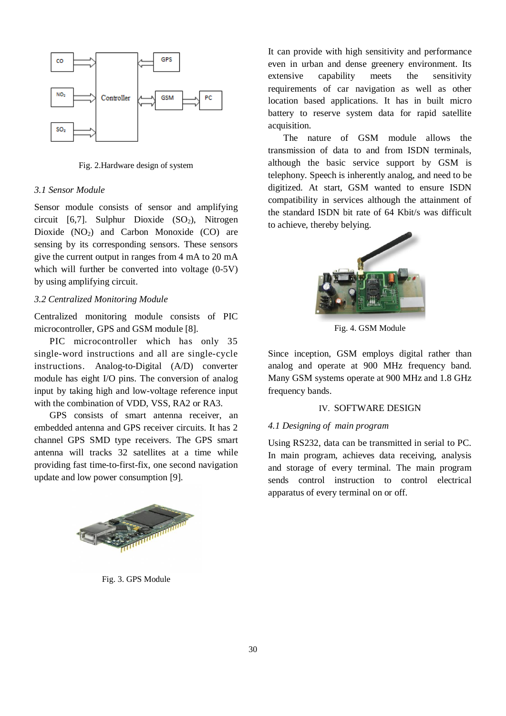

Fig. 2.Hardware design of system

## *3.1 Sensor Module*

Sensor module consists of sensor and amplifying circuit  $[6,7]$ . Sulphur Dioxide  $(SO_2)$ , Nitrogen Dioxide  $(NO<sub>2</sub>)$  and Carbon Monoxide  $(CO)$  are sensing by its corresponding sensors. These sensors give the current output in ranges from 4 mA to 20 mA which will further be converted into voltage  $(0-5V)$ by using amplifying circuit.

## *3.2 Centralized Monitoring Module*

Centralized monitoring module consists of PIC microcontroller, GPS and GSM module [8].

PIC microcontroller which has only 35 single-word instructions and all are single-cycle instructions. Analog-to-Digital (A/D) converter module has eight I/O pins. The conversion of analog input by taking high and low-voltage reference input with the combination of VDD, VSS, RA2 or RA3.

GPS consists of smart antenna receiver, an embedded antenna and GPS receiver circuits. It has 2 channel GPS SMD type receivers. The GPS smart antenna will tracks 32 satellites at a time while providing fast time-to-first-fix, one second navigation update and low power consumption [9].



Fig. 3. GPS Module

It can provide with high sensitivity and performance even in urban and dense greenery environment. Its extensive capability meets the sensitivity requirements of car navigation as well as other location based applications. It has in built micro battery to reserve system data for rapid satellite acquisition.

The nature of GSM module allows the transmission of data to and from ISDN terminals, although the basic service support by GSM is telephony. Speech is inherently analog, and need to be digitized. At start, GSM wanted to ensure ISDN compatibility in services although the attainment of the standard ISDN bit rate of 64 Kbit/s was difficult to achieve, thereby belying.



Fig. 4. GSM Module

Since inception, GSM employs digital rather than analog and operate at 900 MHz frequency band. Many GSM systems operate at 900 MHz and 1.8 GHz frequency bands.

### IV. SOFTWARE DESIGN

## *4.1 Designing of main program*

Using RS232, data can be transmitted in serial to PC. In main program, achieves data receiving, analysis and storage of every terminal. The main program sends control instruction to control electrical apparatus of every terminal on or off.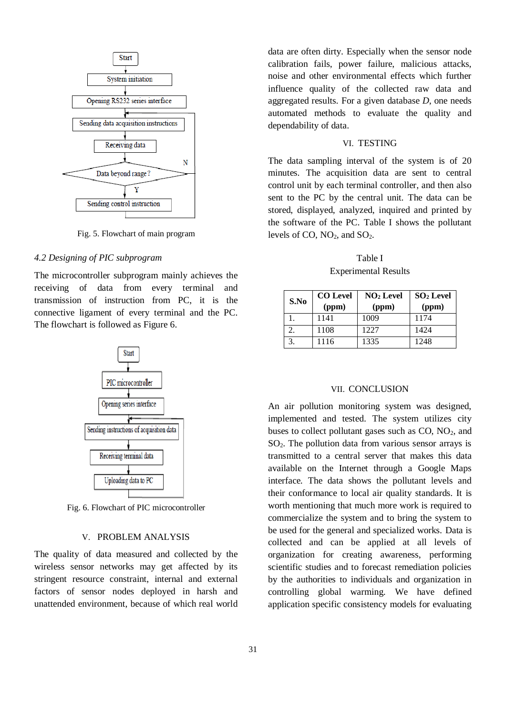

Fig. 5. Flowchart of main program

#### *4.2 Designing of PIC subprogram*

The microcontroller subprogram mainly achieves the receiving of data from every terminal and transmission of instruction from PC, it is the connective ligament of every terminal and the PC. The flowchart is followed as Figure 6.



Fig. 6. Flowchart of PIC microcontroller

#### V. PROBLEM ANALYSIS

The quality of data measured and collected by the wireless sensor networks may get affected by its stringent resource constraint, internal and external factors of sensor nodes deployed in harsh and unattended environment, because of which real world data are often dirty. Especially when the sensor node calibration fails, power failure, malicious attacks, noise and other environmental effects which further influence quality of the collected raw data and aggregated results. For a given database *D*, one needs automated methods to evaluate the quality and dependability of data.

#### VI. TESTING

The data sampling interval of the system is of 20 minutes. The acquisition data are sent to central control unit by each terminal controller, and then also sent to the PC by the central unit. The data can be stored, displayed, analyzed, inquired and printed by the software of the PC. Table I shows the pollutant levels of CO,  $NO<sub>2</sub>$ , and  $SO<sub>2</sub>$ .

Table I Experimental Results

| S.No | <b>CO</b> Level | $NO2$ Level | $SO2$ Level |
|------|-----------------|-------------|-------------|
|      | (ppm)           | (ppm)       | (ppm)       |
|      | 1141            | 1009        | 1174        |
|      | 1108            | 1227        | 1424        |
|      | 1116            | 1335        | 1248        |

#### VII. CONCLUSION

An air pollution monitoring system was designed, implemented and tested. The system utilizes city buses to collect pollutant gases such as  $CO$ ,  $NO<sub>2</sub>$ , and SO2. The pollution data from various sensor arrays is transmitted to a central server that makes this data available on the Internet through a Google Maps interface. The data shows the pollutant levels and their conformance to local air quality standards. It is worth mentioning that much more work is required to commercialize the system and to bring the system to be used for the general and specialized works. Data is collected and can be applied at all levels of organization for creating awareness, performing scientific studies and to forecast remediation policies by the authorities to individuals and organization in controlling global warming. We have defined application specific consistency models for evaluating